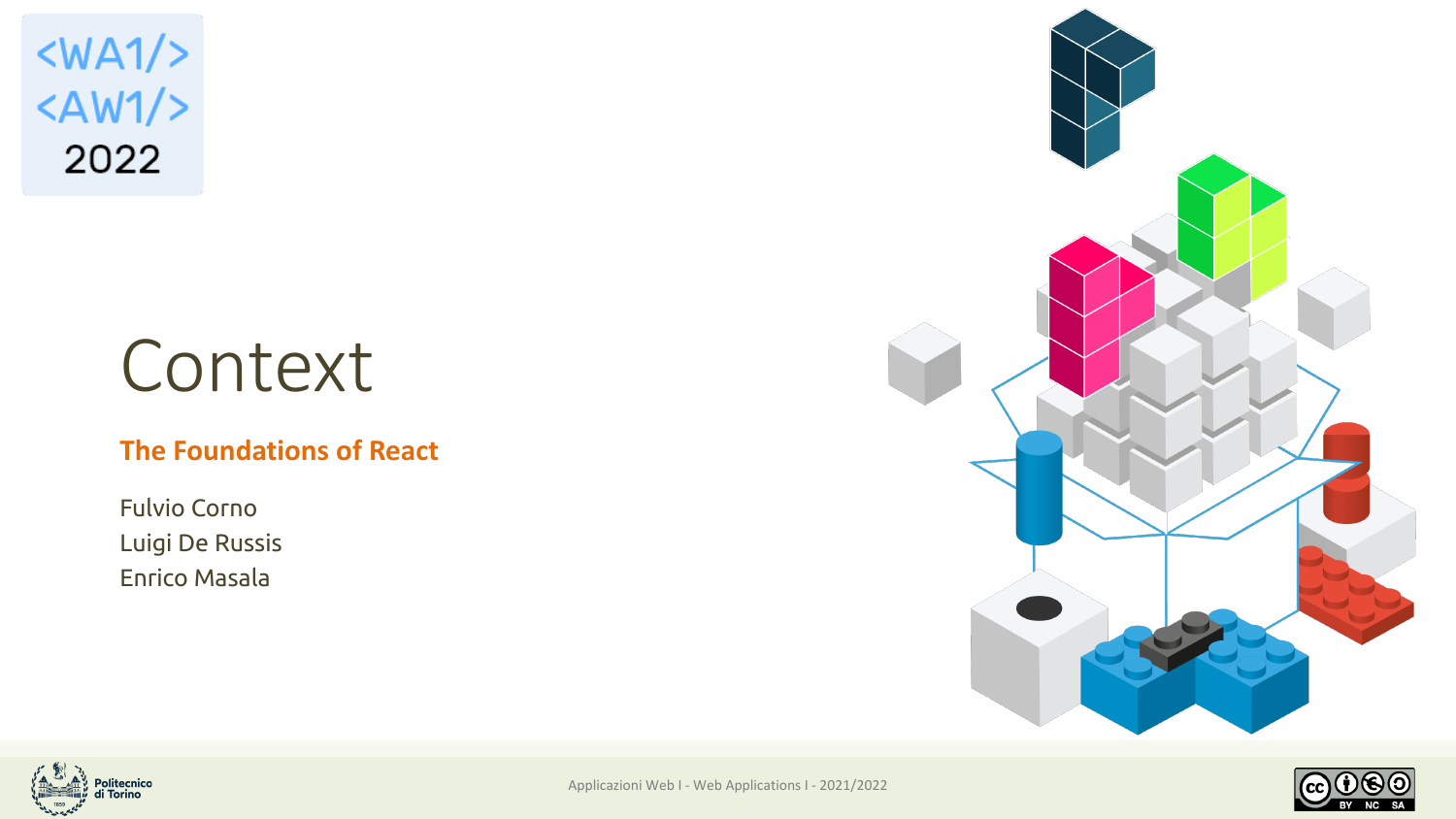$<$ WA1/>  $<$ AW1/> 2022

# Context

#### **The Foundations of React**

Fulvio Corno Luigi De Russis Enrico Masala





Applicazioni Web I - Web Applications I - 2021/2022

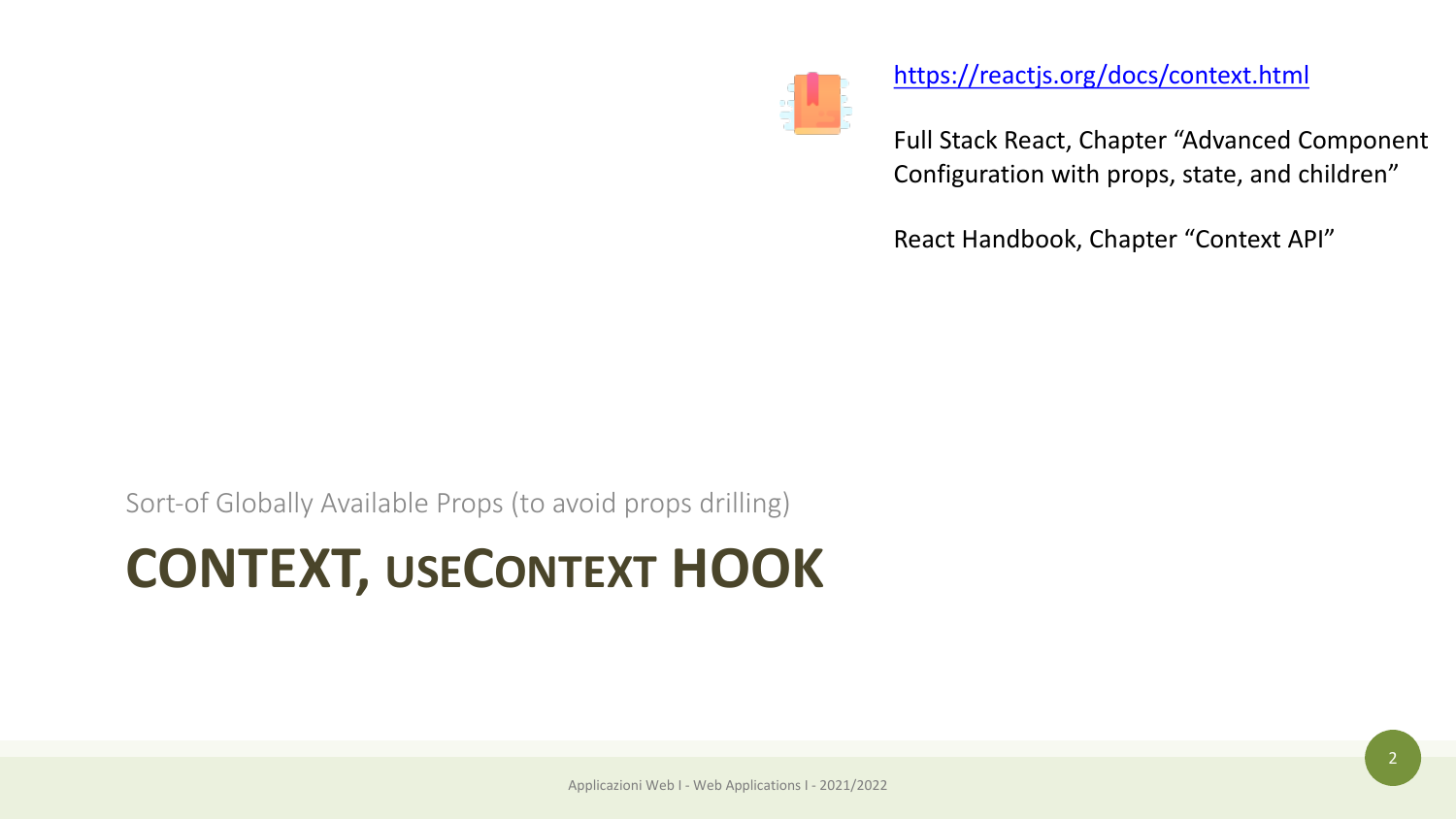

Ful Cor

htt

Rea

Sort-of Globally Available Props (to avoid props drilling)

### **CONTEXT, USECONTEXT HOOK**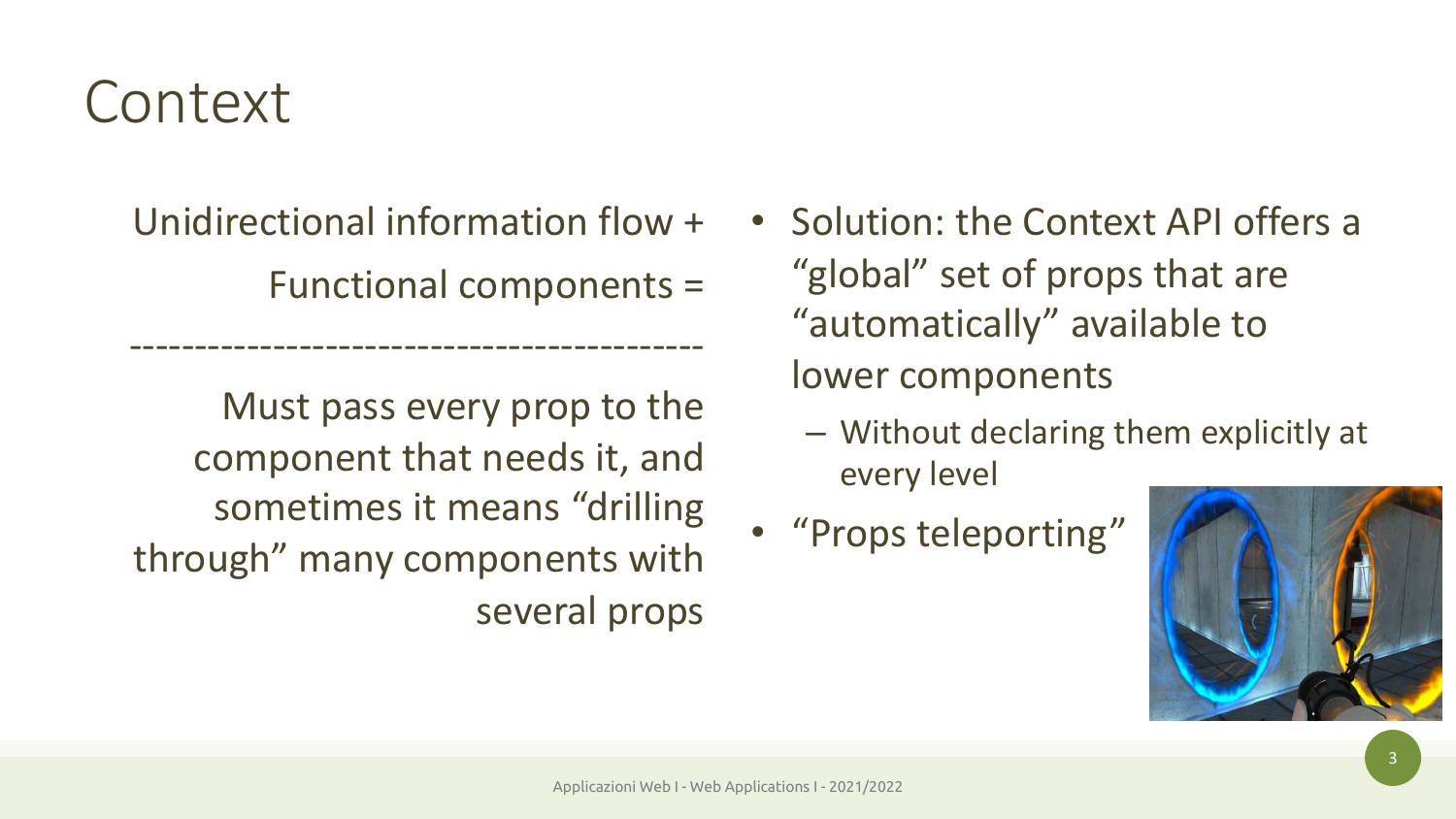### Context

Unidirectional information flow +

--------------------------------------------

Functional components =

Must pass every prop to the component that needs it, and sometimes it means "drilling through" many components with several props

- Solution: the Context API offers a "global" set of props that are "automatically" available to lower components
	- Without declaring them explicitly at every level
- "Props teleporting"

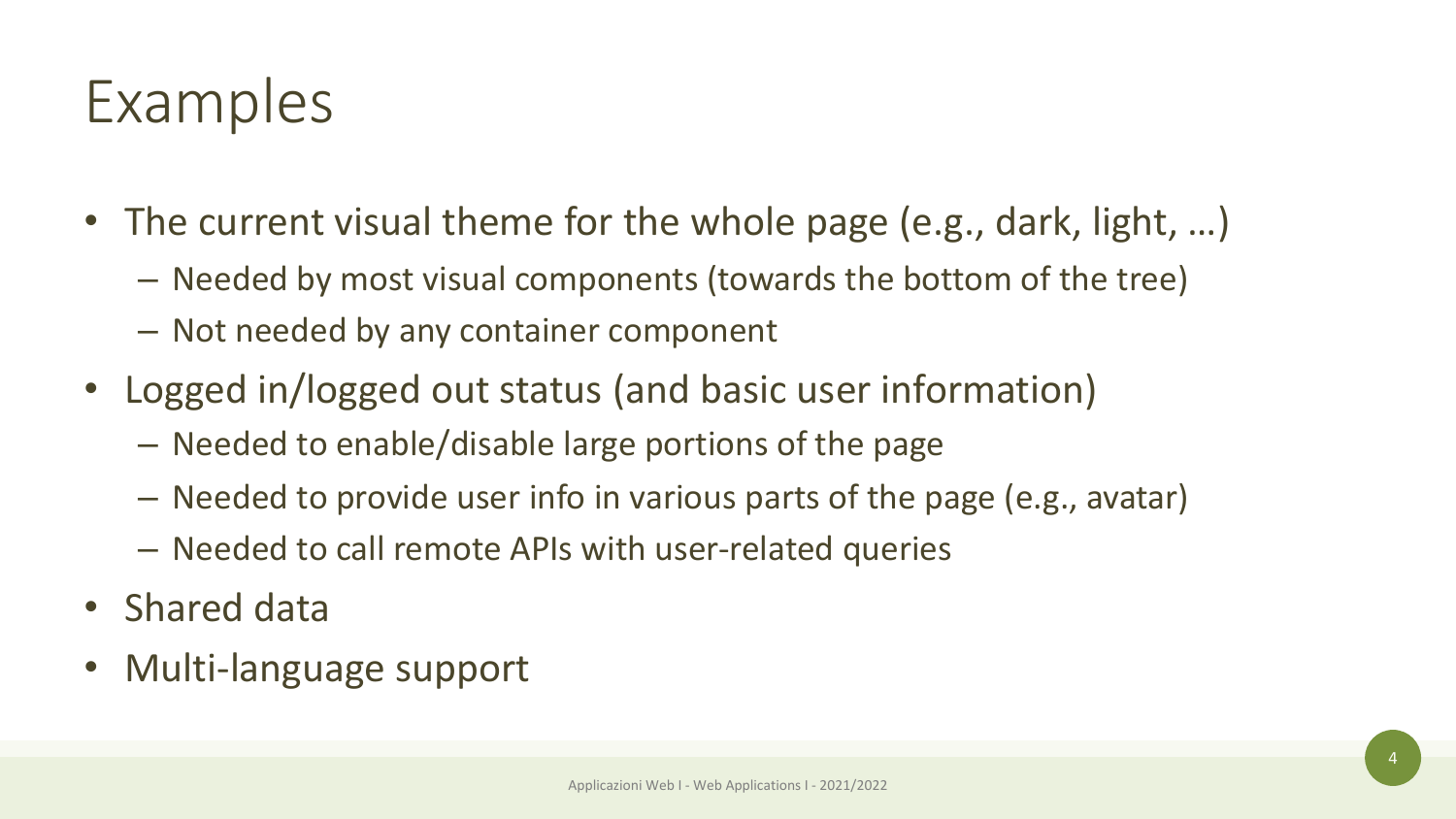- The current visual theme for the whole page (e.g., dark, light, ...)
	- Needed by most visual components (towards the bottom of the tree)
	- Not needed by any container component
- Logged in/logged out status (and basic user information)
	- Needed to enable/disable large portions of the page
	- Needed to provide user info in various parts of the page (e.g., avatar)
	- Needed to call remote APIs with user-related queries
- Shared data
- Multi-language support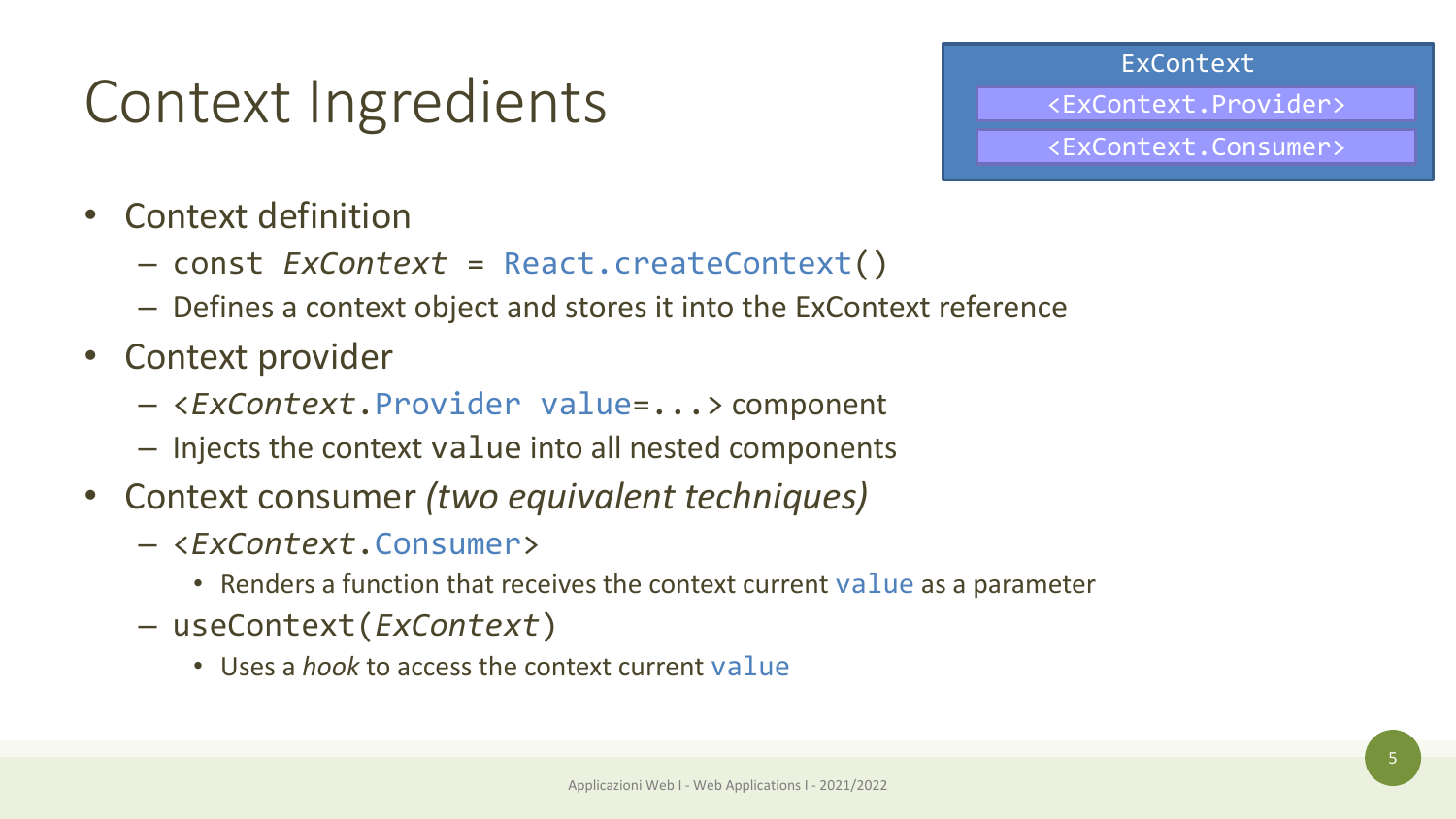ExContext

<ExContext.Provider>

<ExContext.Consumer>

### Context Ingredients

- Context definition
	- const *ExContext* = React.createContext()
	- Defines a context object and stores it into the ExContext reference
- Context provider
	- <*ExContext*.Provider value=...> component
	- Injects the context value into all nested components
- Context consumer *(two equivalent techniques)*
	- <*ExContext*.Consumer>
		- Renders a function that receives the context current value as a parameter
	- useContext(*ExContext*)
		- Uses a *hook* to access the context current value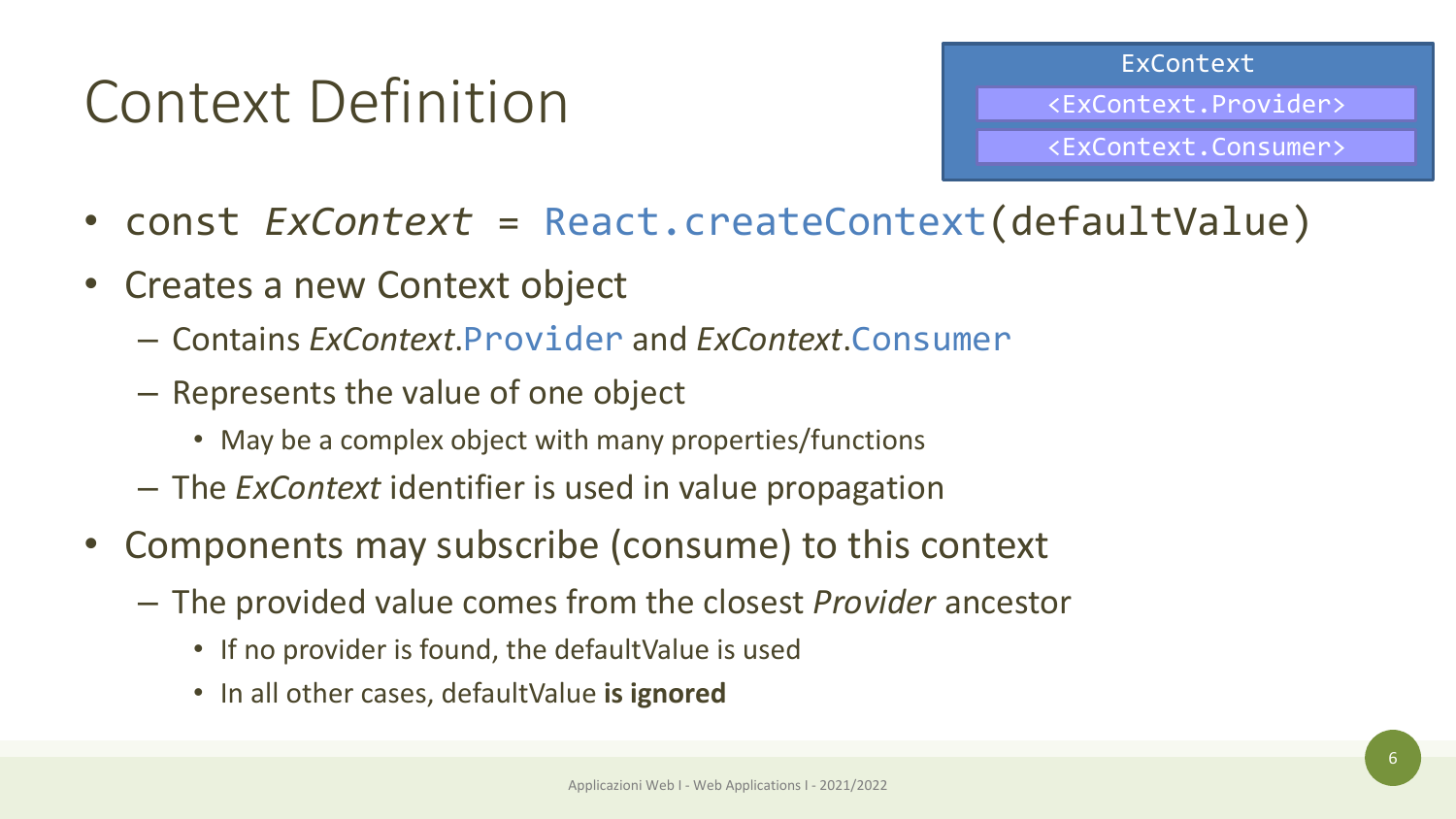### Context Definition

ExContext

<ExContext.Provider>

<ExContext.Consumer>

- const *ExContext* = React.createContext(defaultValue)
- Creates a new Context object
	- Contains *ExContext*.Provider and *ExContext*.Consumer
	- Represents the value of one object
		- May be a complex object with many properties/functions
	- The *ExContext* identifier is used in value propagation
- Components may subscribe (consume) to this context
	- The provided value comes from the closest *Provider* ancestor
		- If no provider is found, the defaultValue is used
		- In all other cases, defaultValue **is ignored**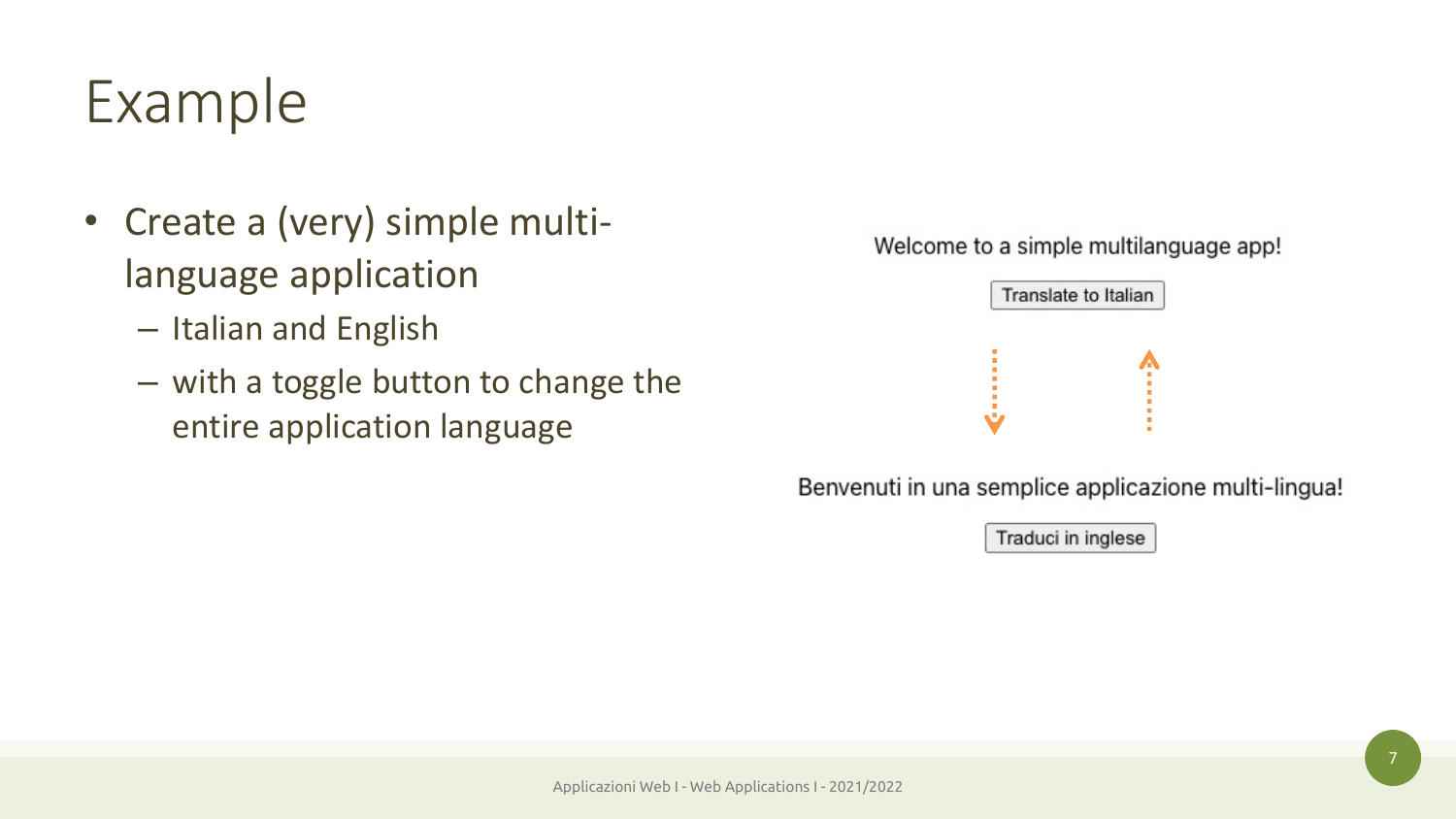- Create a (very) simple multilanguage application
	- Italian and English
	- with a toggle button to change the entire application language

Welcome to a simple multilanguage app!



Benvenuti in una semplice applicazione multi-lingua!

Traduci in inglese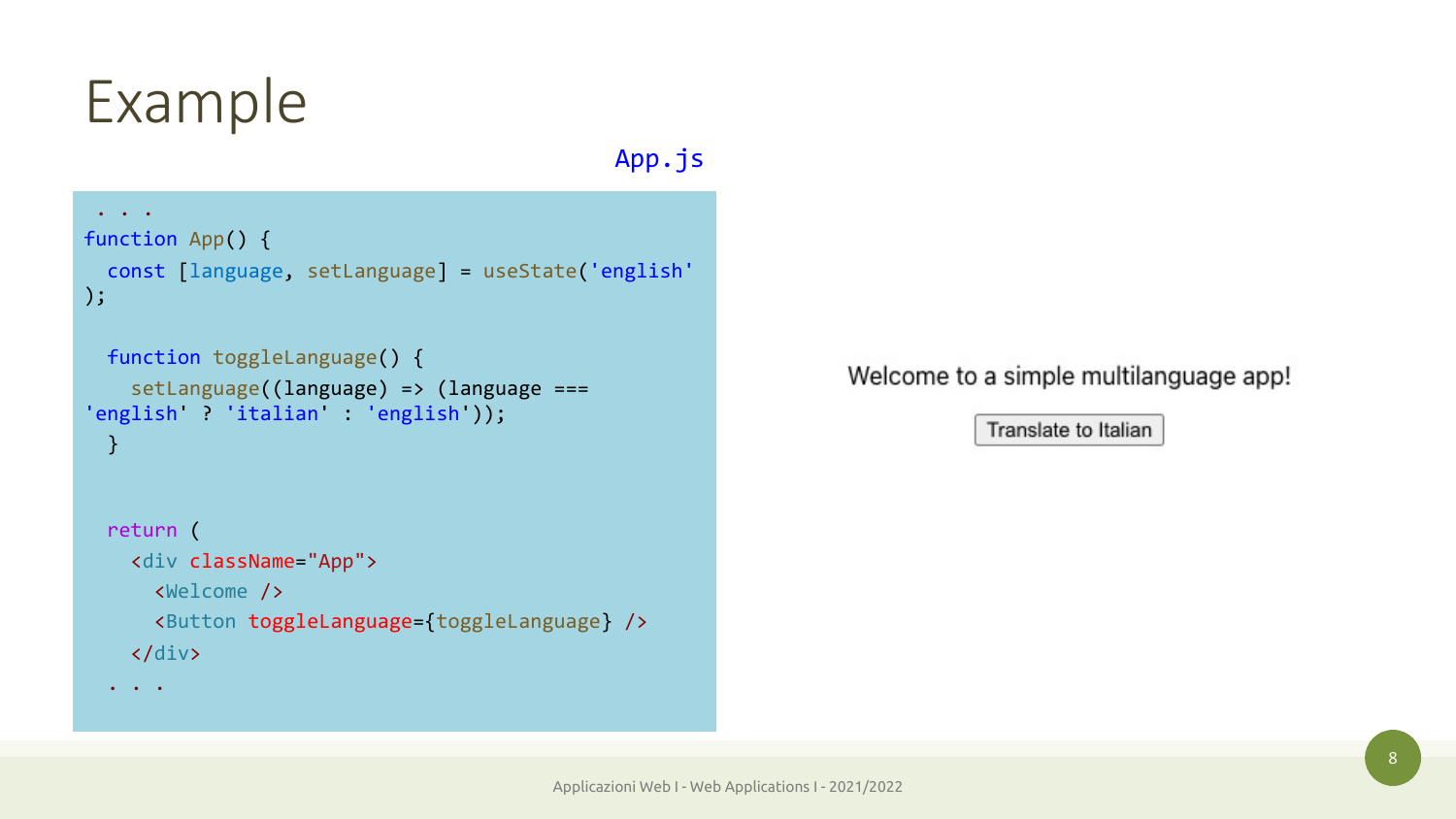App.js

```
\ddot{\bullet} . \ddot{\bullet} .
function App() {
  const [language, setLanguage] = useState('english'
);
```

```
function toggleLanguage() {
   setLanguage((language) => (language ===
'english' ? 'italian' : 'english'));
 }
```

```
return (
  <div className="App">
    <Welcome />
    <Button toggleLanguage={toggleLanguage} />
  </div>
```
. . .

Welcome to a simple multilanguage app!

Translate to Italian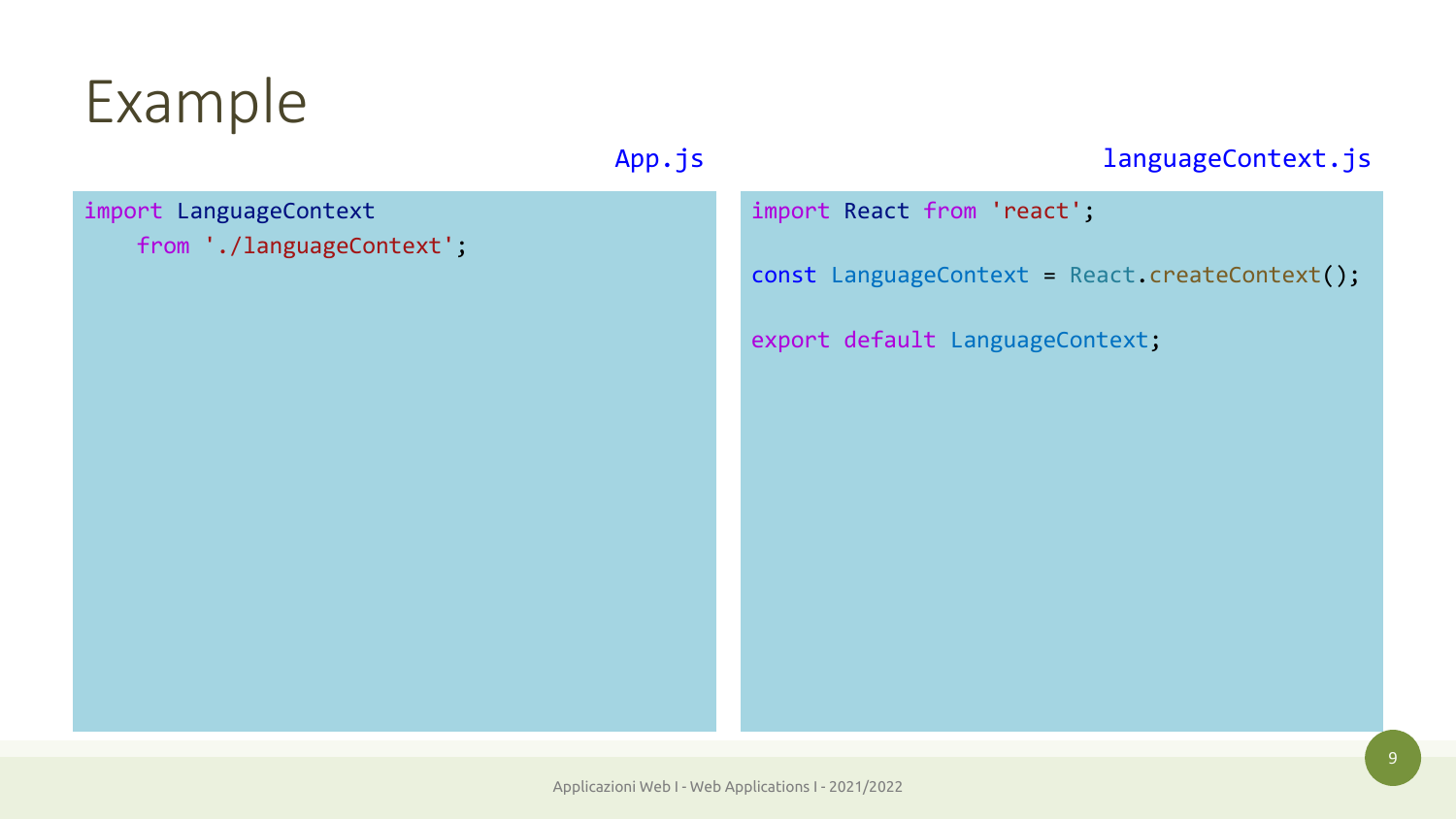### import LanguageContext

```
from './languageContext';
```
#### App.js and a languageContext.js

import React from 'react';

const LanguageContext = React.createContext();

export default LanguageContext;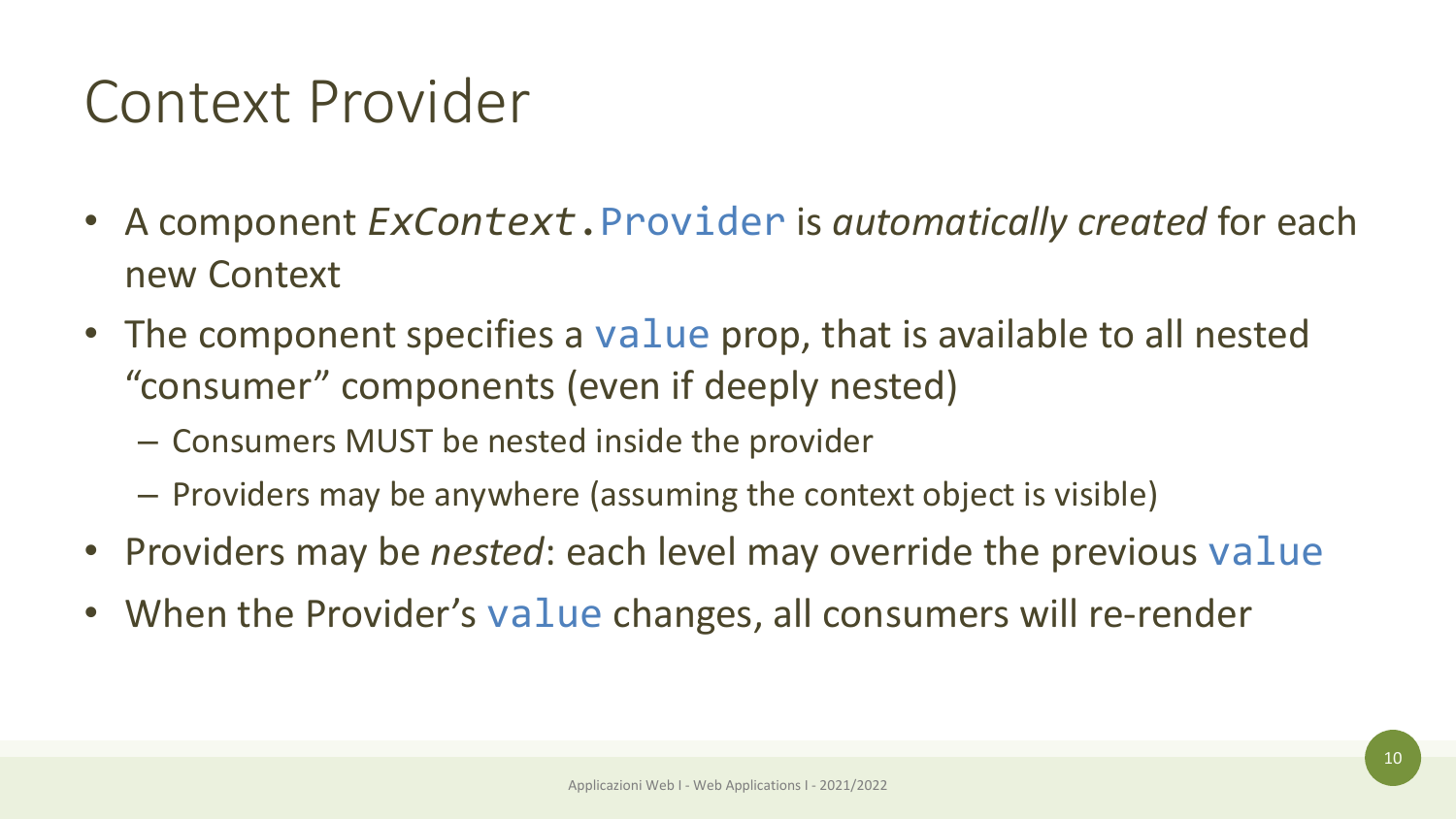### Context Provider

- A component *ExContext*.Provider is *automatically created* for each new Context
- The component specifies a value prop, that is available to all nested "consumer" components (even if deeply nested)
	- Consumers MUST be nested inside the provider
	- Providers may be anywhere (assuming the context object is visible)
- Providers may be *nested*: each level may override the previous value
- When the Provider's value changes, all consumers will re-render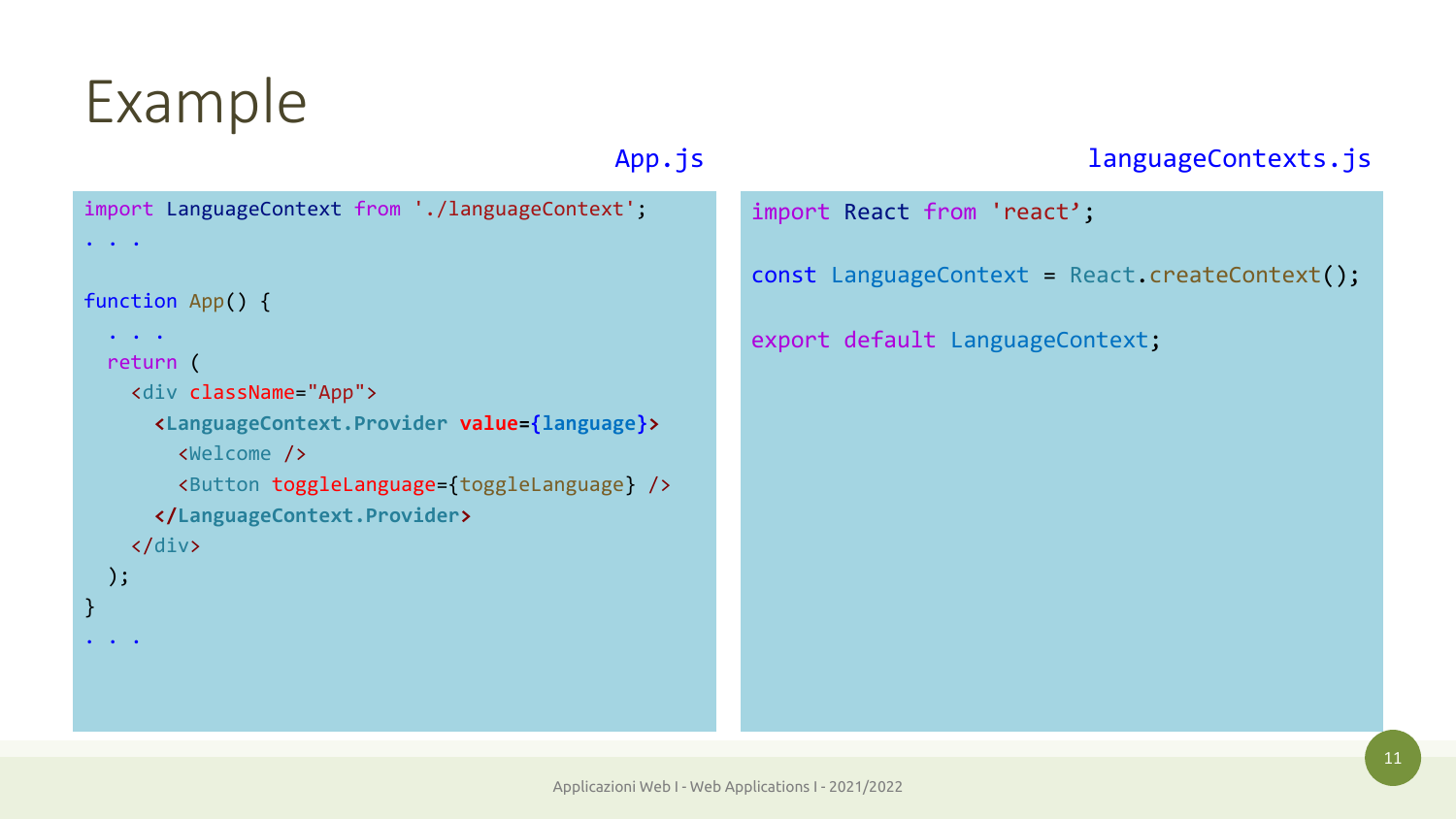```
import LanguageContext from './languageContext';
\bullet . \bullet . \bulletfunction App() {
  \bullet . \bullet . \bulletreturn (
     <div className="App">
       <LanguageContext.Provider value={language}>
         <Welcome />
         <Button toggleLanguage={toggleLanguage} />
       </LanguageContext.Provider>
     </div>
  );
}
\cdot . \cdot .
```
### App.js and anguageContexts.js

import React from 'react';

const LanguageContext = React.createContext();

export default LanguageContext;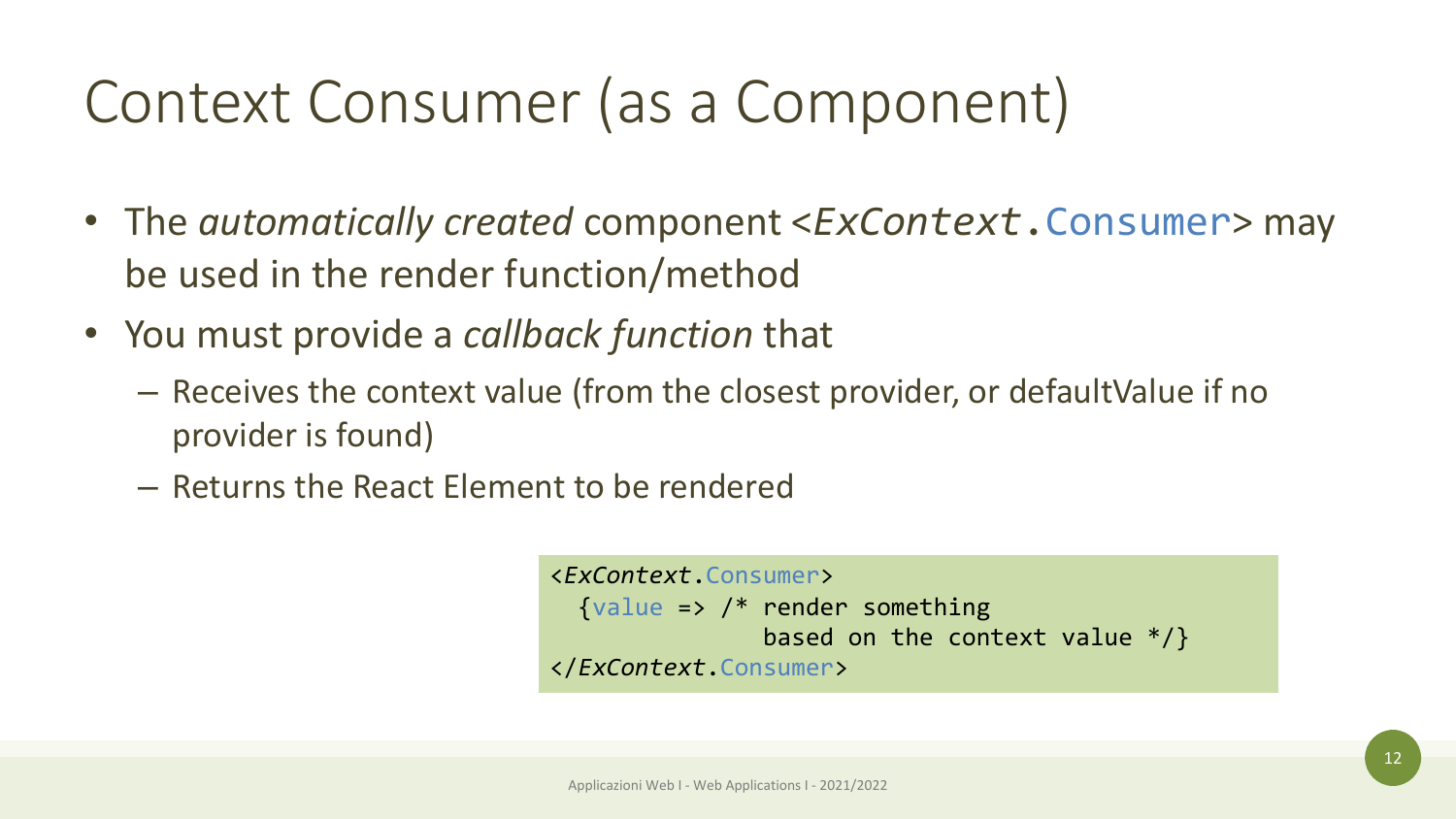## Context Consumer (as a Component)

- The *automatically created* component <*ExContext*.Consumer> may be used in the render function/method
- You must provide a *callback function* that
	- Receives the context value (from the closest provider, or defaultValue if no provider is found)
	- Returns the React Element to be rendered

```
<ExContext.Consumer>
  \{value \Rightarrow /* render something
                based on the context value */}
</ExContext.Consumer>
```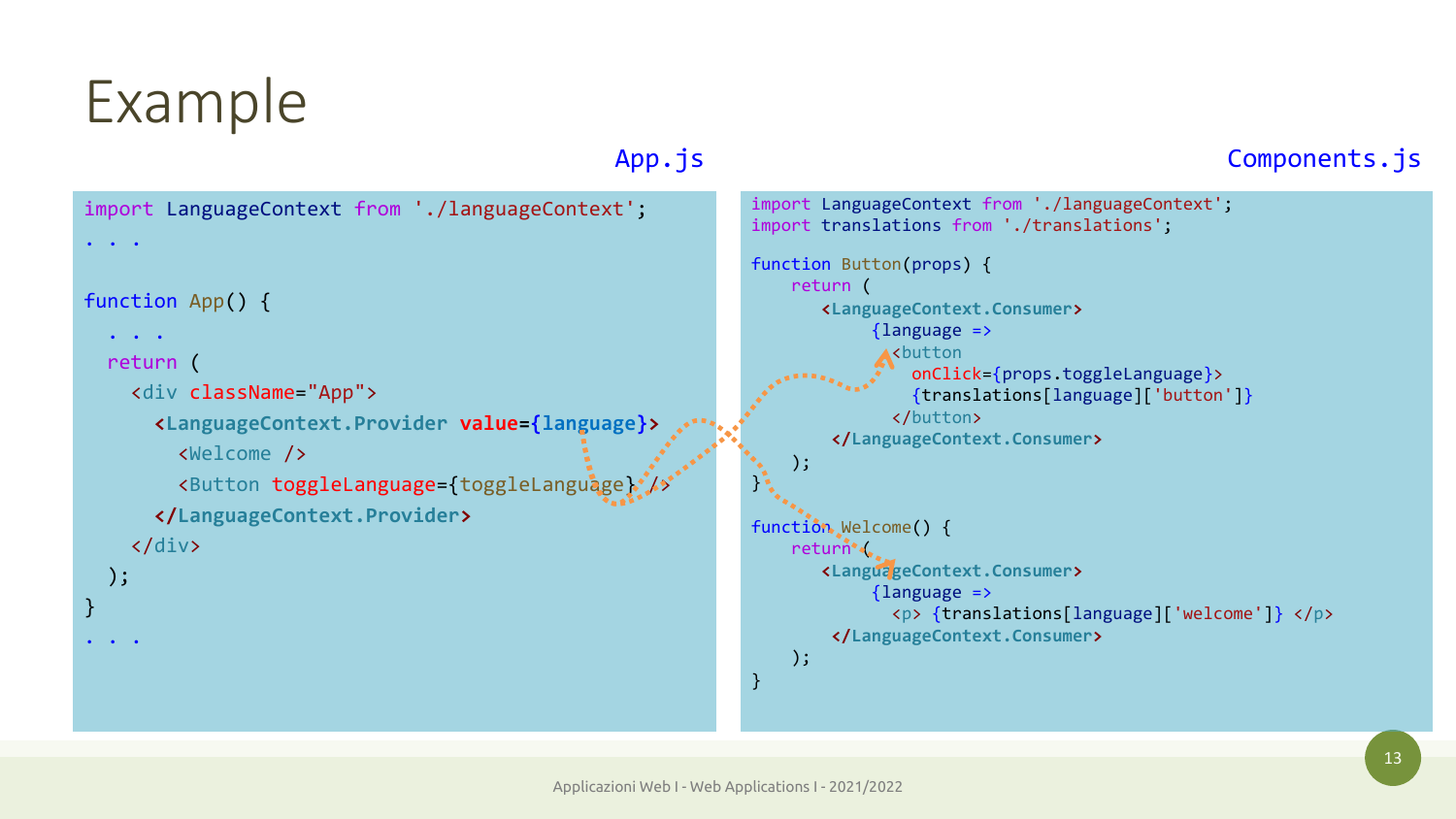);

 $\bullet$  .  $\bullet$  . . . .

}

#### import LanguageContext from './languageContext'; . . . function App() {  $\cdot$  .  $\cdot$  . return ( <div className="App"> **<LanguageContext.Provider value={language}>** <Welcome /> <Button toggleLanguage={toggleLanguage} **</LanguageContext.Provider>** </div> import LanguageContext from './languageContext'; import translations from './translations'; function Button(props) { return ( **<LanguageContext.Consumer>**  ${language \Rightarrow}$ <button onClick={props.toggleLanguage}> {translations[language]['button']} </button> **</LanguageContext.Consumer>** );  $\}$ . function Welcome() { return ( **<LanguageContext.Consumer>**  ${language >}$ <p> {translations[language]['welcome']} </p> **</LanguageContext.Consumer>** ); } App.js **Components.js**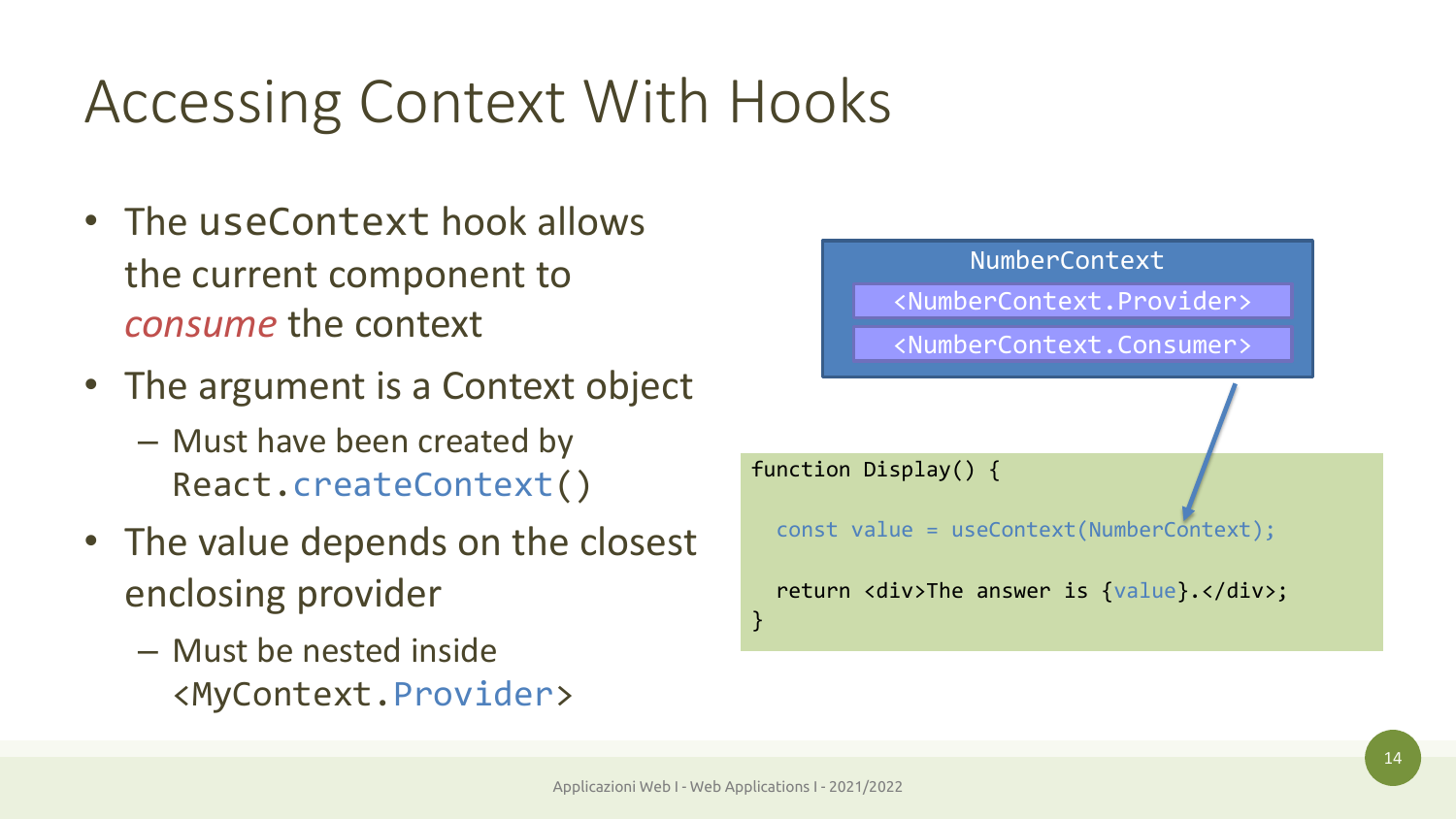## Accessing Context With Hooks

- The useContext hook allows the current component to *consume* the context
- The argument is a Context object
	- Must have been created by React.createContext()
- The value depends on the closest enclosing provider
	- Must be nested inside <MyContext.Provider>

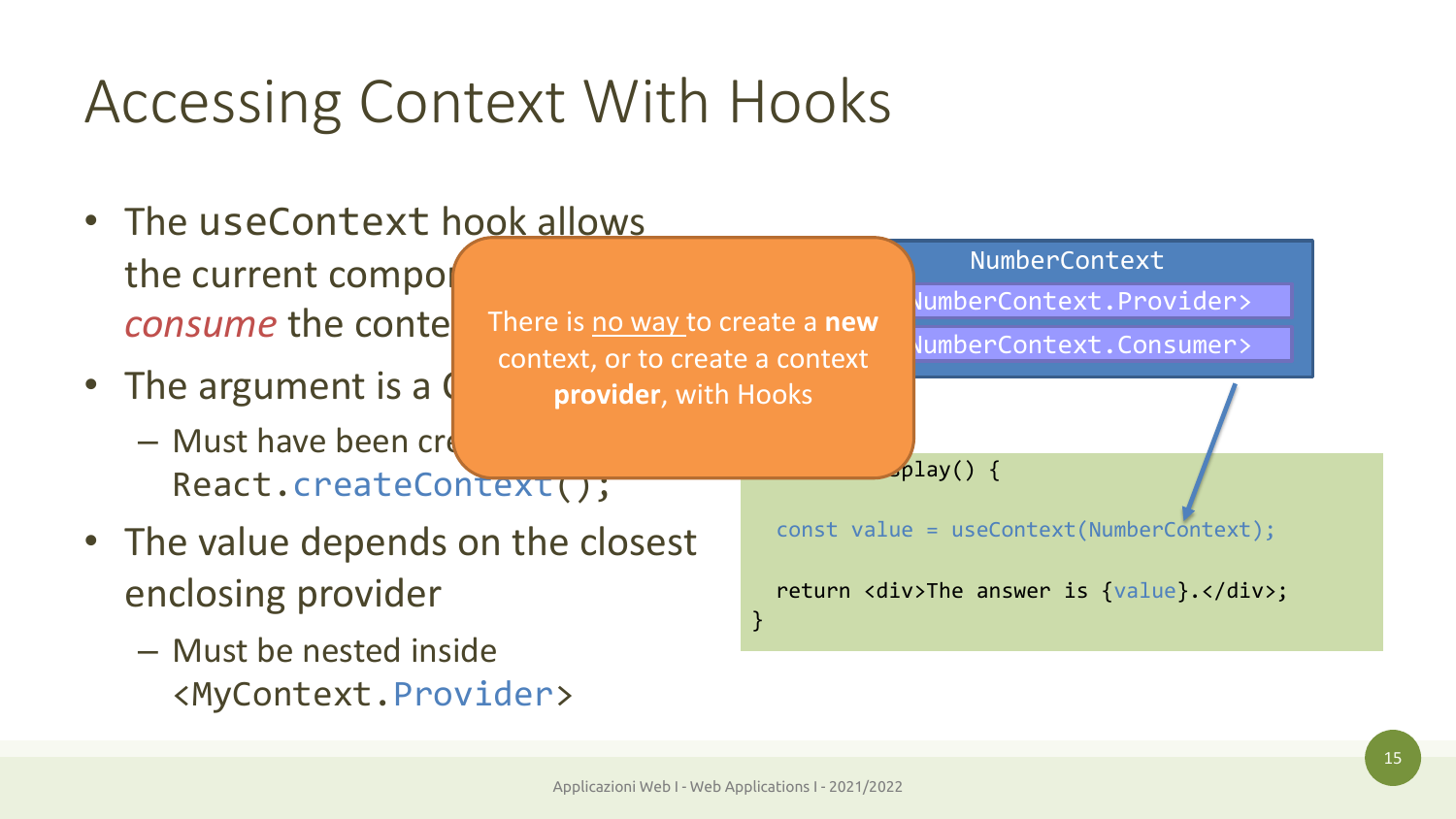## Accessing Context With Hooks

- The useContext hook allows the current compo *consume* the conte
- The argument is a  $\mathfrak o$ 
	- $-$  Must have been created React.createContext();
- The value depends on the closest enclosing provider
	- Must be nested inside <MyContext.Provider>

There is no way to create a **new** context, or to create a context **provider**, with Hooks

 $\mathcal{L}$ play() {

const value = useContext(NumberContext);

NumberContext

lumberContext.Provider>

<NumberContext.Consumer>

return <div>The answer is {value}.</div>;

}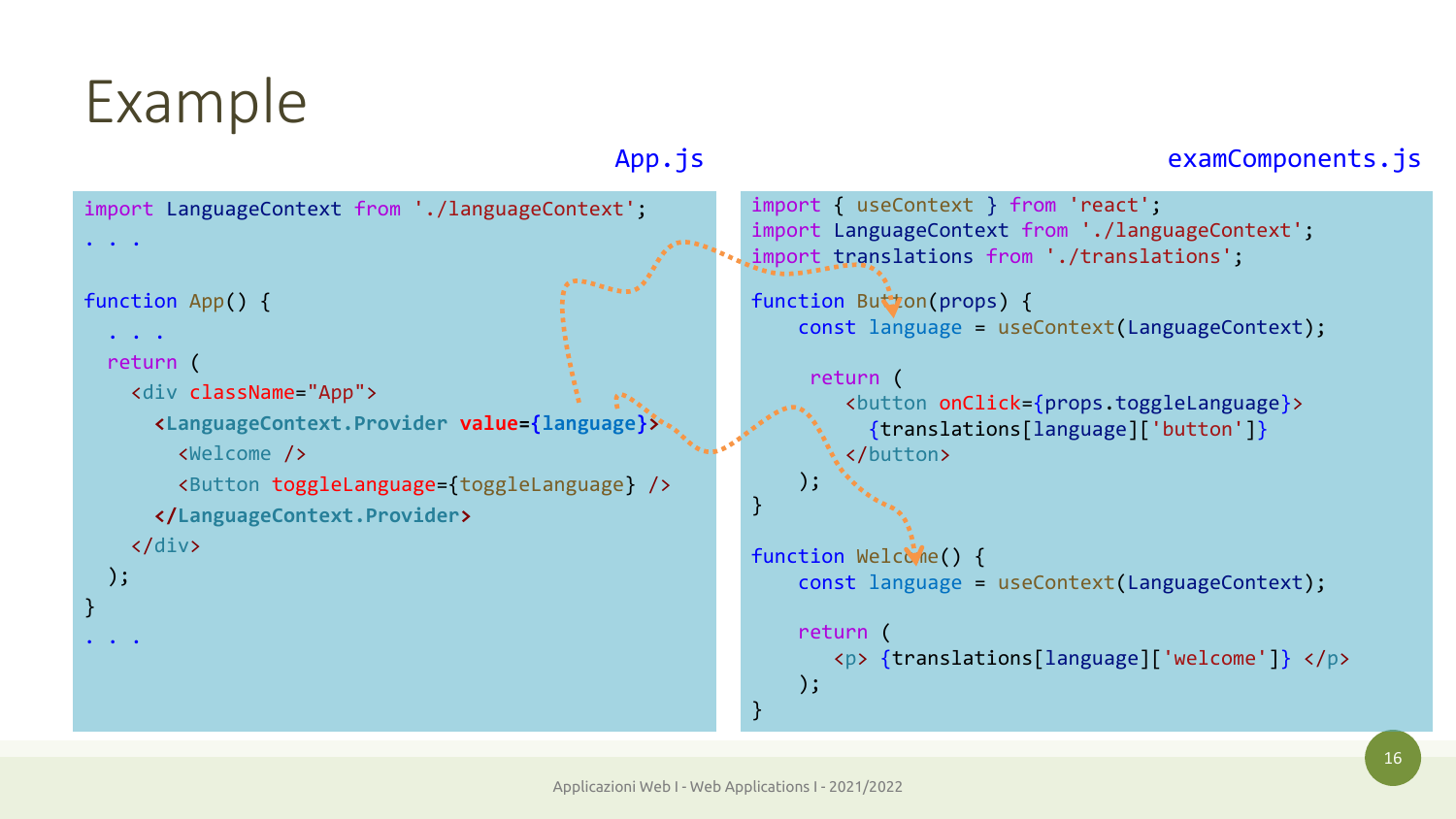}

```
import LanguageContext from './languageContext';
. . .
function App() {
  \cdot . \cdot .
 return (
   <div className="App">
     <LanguageContext.Provider value={language}>
       <Welcome />
       <Button toggleLanguage={toggleLanguage} />
     </LanguageContext.Provider>
   </div>
 );
. . . .
                                                       import { useContext } from 'react';
                                                       import LanguageContext from './languageContext';
                                                       import translations from './translations';
                                                       function Button(props) {
                                                           const language = useContext(LanguageContext);
                                                            return (
                                                               <button onClick={props.toggleLanguage}>
                                                                 {translations[language]['button']}
                                                               </button>
                                                           );
                                                        }
                                                       function Welcome() {
                                                           const language = useContext(LanguageContext);
                                                           return (
                                                              <p> {translations[language]['welcome']} </p>
                                                           );
                                                       }
                                            App.js examComponents.js
```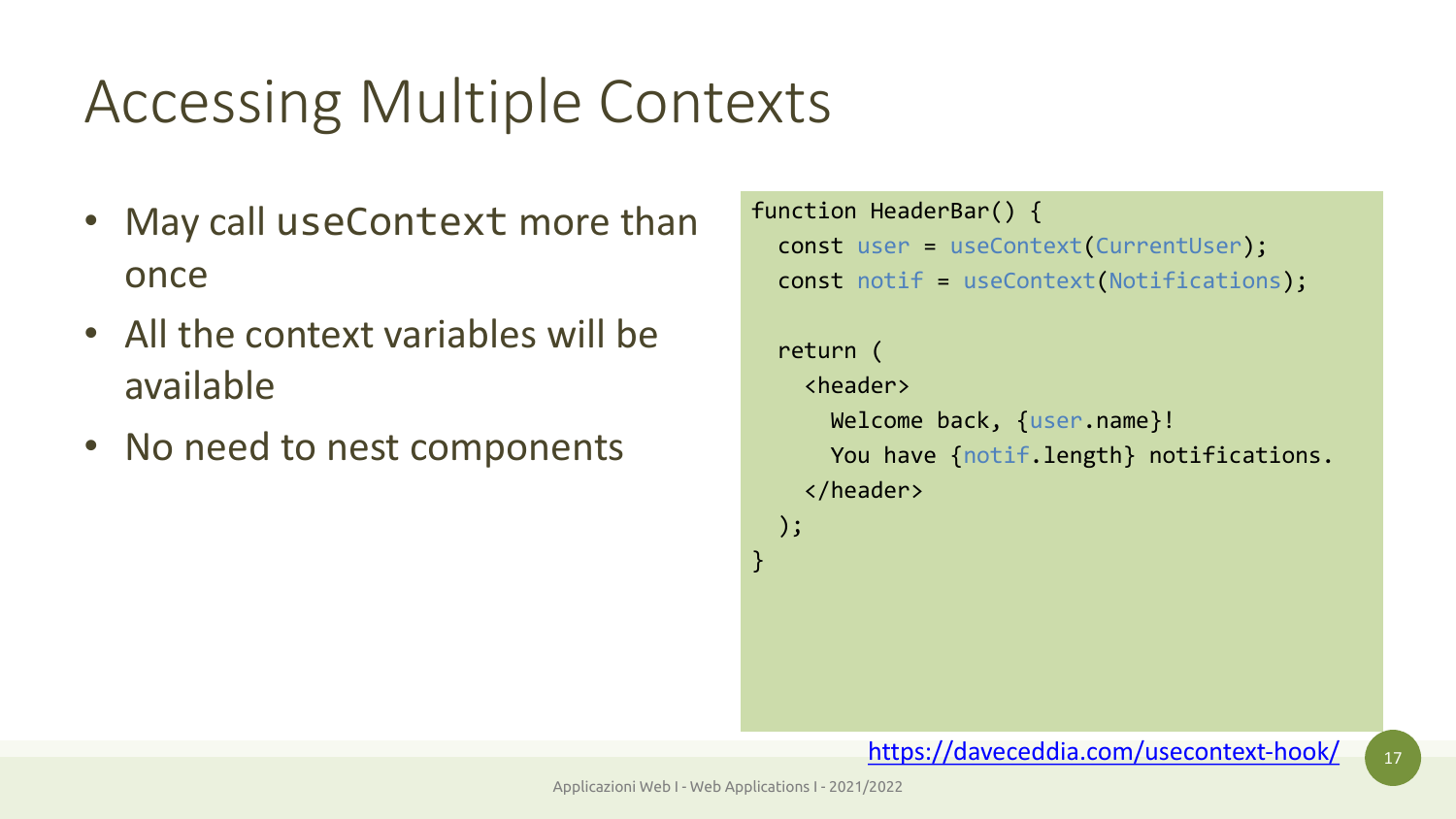## Accessing Multiple Contexts

- May call useContext more than once
- All the context variables will be available
- No need to nest components

```
function Heade
  const user :
  const notif
```

```
return (
  <header>
    Welcome
    You have
  </header>
);
```
https:

}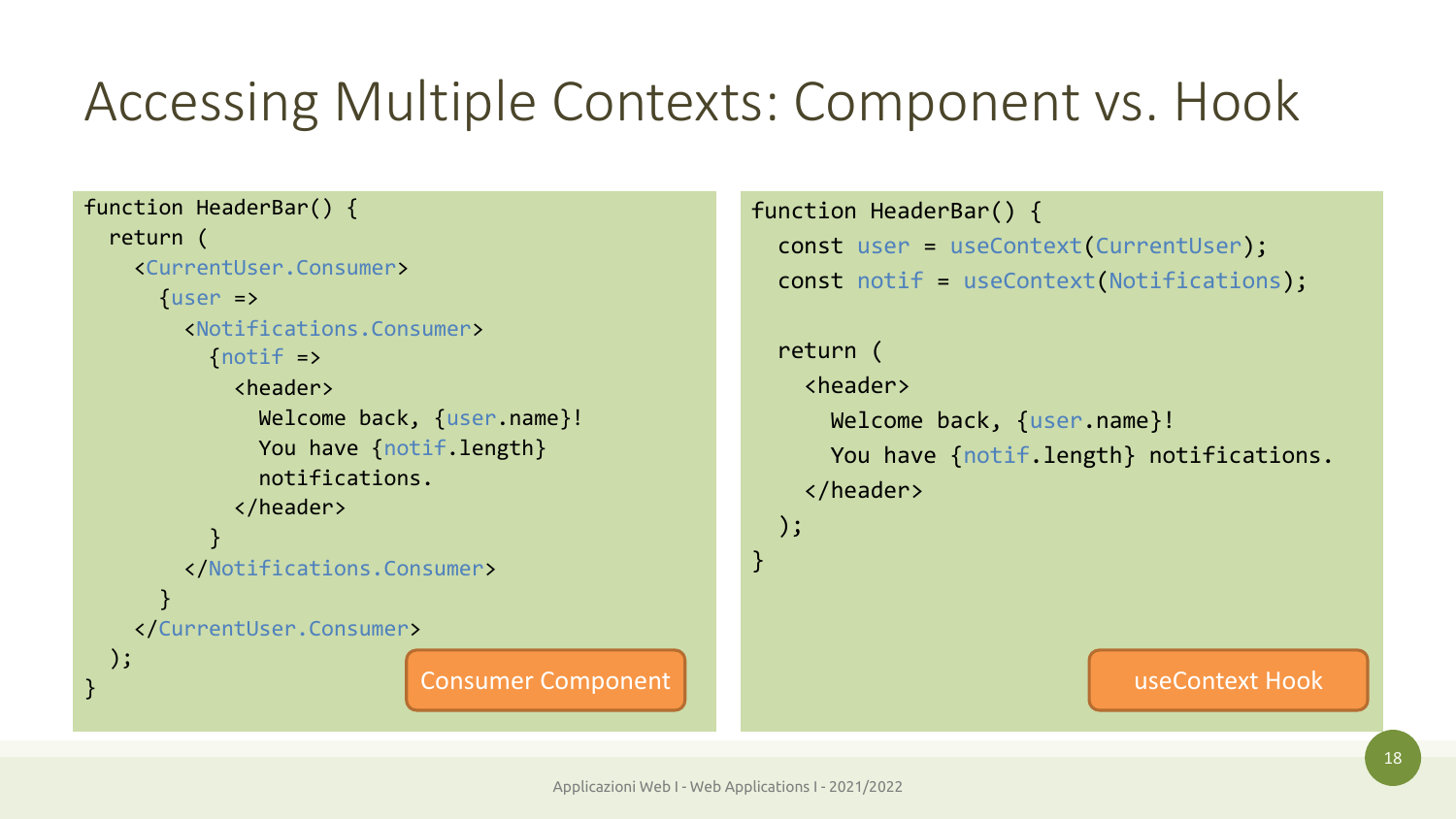### Accessing Multiple Contexts: Component vs. Hook

```
function HeaderBar() {
  return (
    <CurrentUser.Consumer>
      {user =>
        <Notifications.Consumer>
          \{ \text{notif} = \rangle<header>
               Welcome back, {user.name}!
               You have {notif.length}
               notifications.
             </header>
           }
        </Notifications.Consumer>
      }
    </CurrentUser.Consumer>
 );
```

```
function HeaderBar() {
                          const user = useContext(CurrentUser);
                          const notif = useContext(Notifications);
                          return (
                            <header>
                              Welcome back, {user.name}!
                              You have {notif.length} notifications.
                            </header>
                          );
                        }
Example 2 Consumer Component useContext Hook useContext Hook
```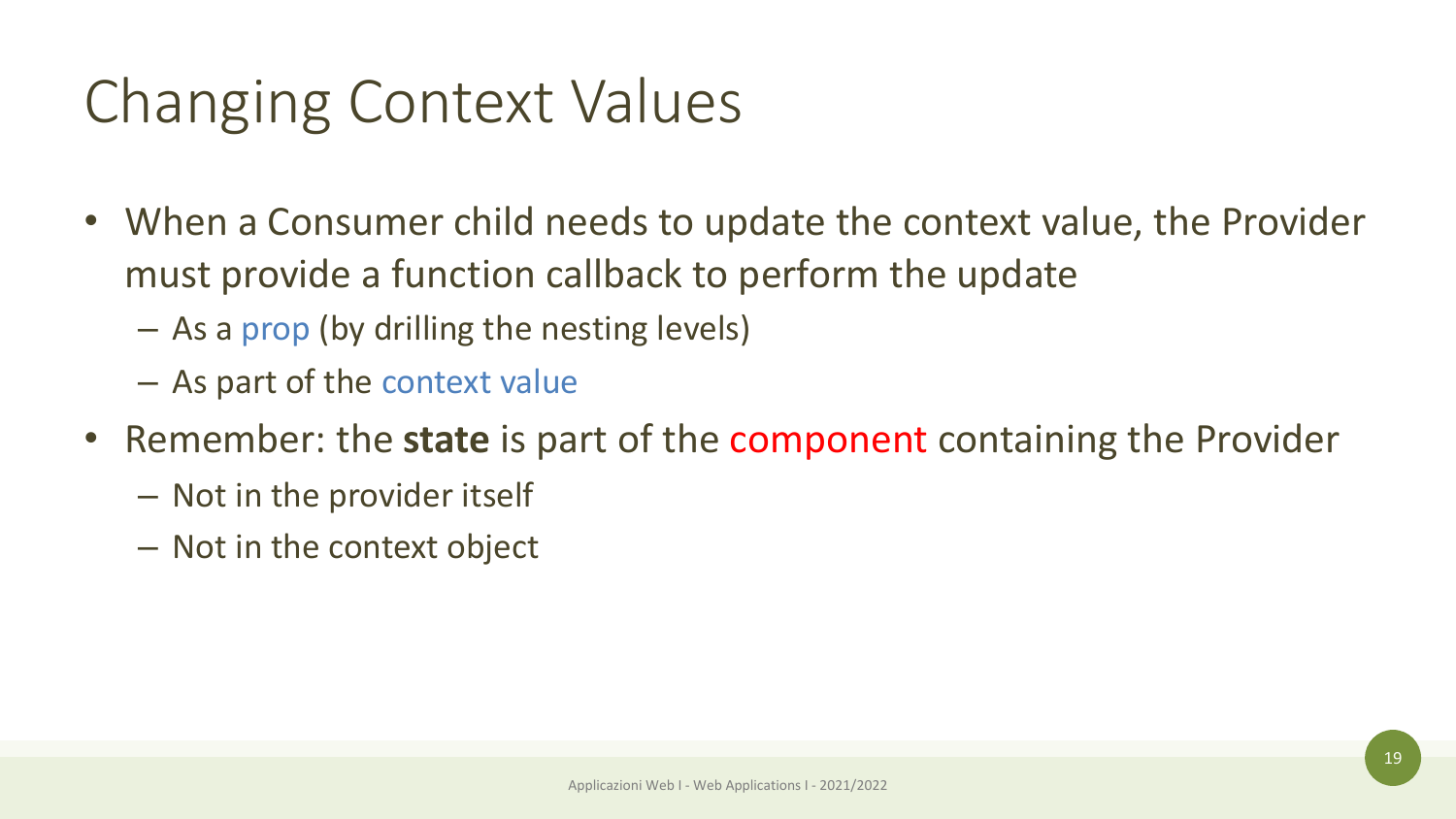### Changing Context Values

- When a Consumer child needs to update the context value, the Provider must provide a function callback to perform the update
	- As a prop (by drilling the nesting levels)
	- As part of the context value
- Remember: the **state** is part of the component containing the Provider
	- Not in the provider itself
	- Not in the context object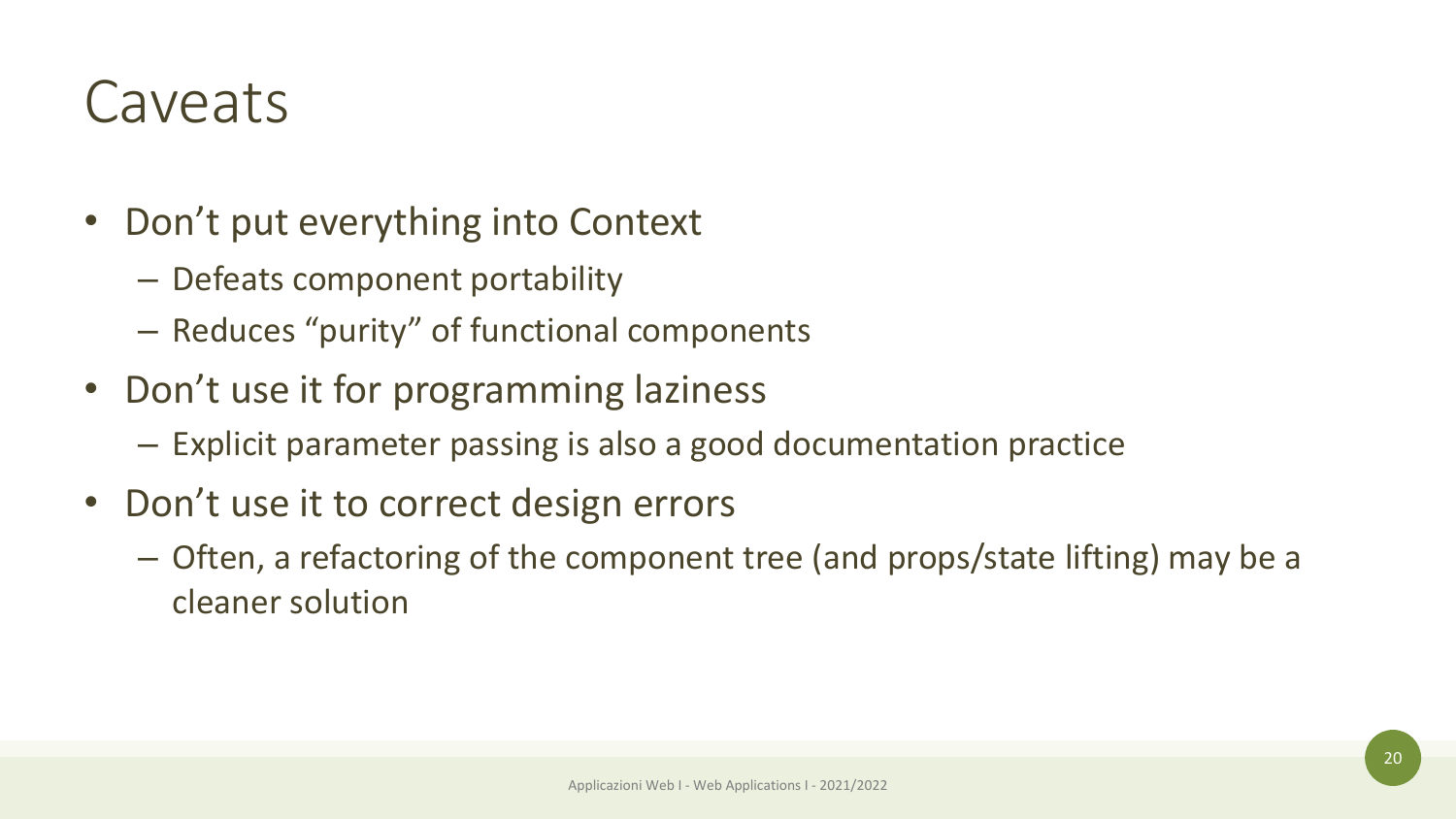### Caveats

- Don't put everything into Context
	- Defeats component portability
	- Reduces "purity" of functional components
- Don't use it for programming laziness
	- Explicit parameter passing is also a good documentation practice
- Don't use it to correct design errors
	- Often, a refactoring of the component tree (and props/state lifting) may be a cleaner solution